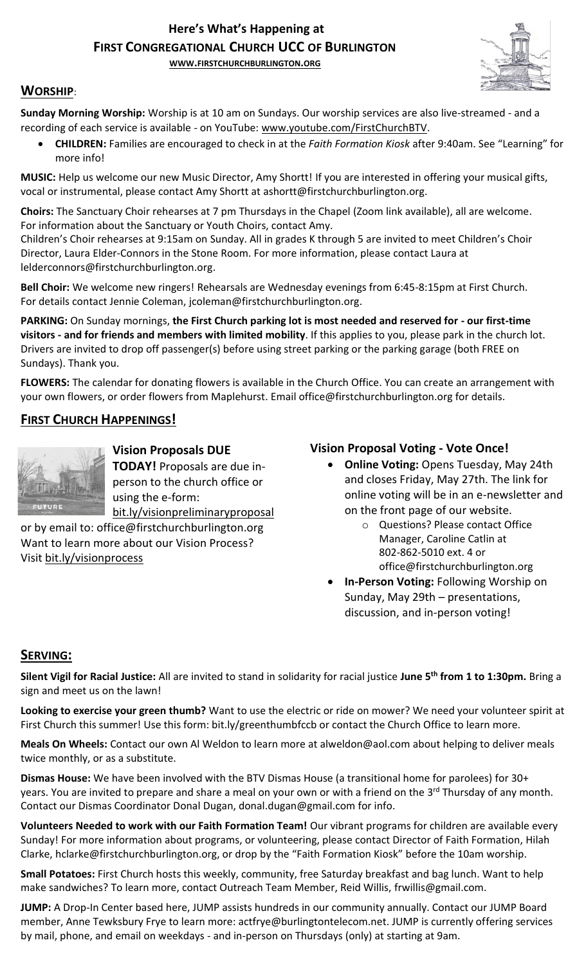# **Here's What's Happening at FIRST CONGREGATIONAL CHURCH UCC OF BURLINGTON**

**WWW.[FIRSTCHURCHBURLINGTON](http://www.firstchurchburlington.org/).ORG**



## **WORSHIP**:

**Sunday Morning Worship:** Worship is at 10 am on Sundays. Our worship services are also live-streamed - and a recording of each service is available - on YouTube: [www.youtube.com/FirstChurchBTV.](http://www.youtube.com/FirstChurchBTV)

• **CHILDREN:** Families are encouraged to check in at the *Faith Formation Kiosk* after 9:40am. See "Learning" for more info!

**MUSIC:** Help us welcome our new Music Director, Amy Shortt! If you are interested in offering your musical gifts, vocal or instrumental, please contact Amy Shortt at ashortt@firstchurchburlington.org.

**Choirs:** The Sanctuary Choir rehearses at 7 pm Thursdays in the Chapel (Zoom link available), all are welcome. For information about the Sanctuary or Youth Choirs, contact Amy.

Children's Choir rehearses at 9:15am on Sunday. All in grades K through 5 are invited to meet Children's Choir Director, Laura Elder-Connors in the Stone Room. For more information, please contact Laura at lelderconnors@firstchurchburlington.org.

**Bell Choir:** We welcome new ringers! Rehearsals are Wednesday evenings from 6:45-8:15pm at First Church. For details contact Jennie Coleman, [jcoleman@firstchurchburlington.org.](mailto:jcoleman@firstchurchburlington.org)

**PARKING:** On Sunday mornings, **the First Church parking lot is most needed and reserved for - our first-time visitors - and for friends and members with limited mobility**. If this applies to you, please park in the church lot. Drivers are invited to drop off passenger(s) before using street parking or the parking garage (both FREE on Sundays). Thank you.

**FLOWERS:** The calendar for donating flowers is available in the Church Office. You can create an arrangement with your own flowers, or order flowers from Maplehurst. Email office@firstchurchburlington.org for details.

# **FIRST CHURCH HAPPENINGS!**



**Vision Proposals DUE TODAY!** Proposals are due inperson to the church office or using the e-form: bit.ly/visionpreliminaryproposal

or by email to: office@firstchurchburlington.org Want to learn more about our Vision Process? Visit bit.ly/visionprocess

### **Vision Proposal Voting - Vote Once!**

- **Online Voting:** Opens Tuesday, May 24th and closes Friday, May 27th. The link for online voting will be in an e-newsletter and on the front page of our website.
	- o Questions? Please contact Office Manager, Caroline Catlin at 802-862-5010 ext. 4 or office@firstchurchburlington.org
- **In-Person Voting:** Following Worship on Sunday, May 29th – presentations, discussion, and in-person voting!

#### **SERVING:**

**Silent Vigil for Racial Justice:** All are invited to stand in solidarity for racial justice **June 5th from 1 to 1:30pm.** Bring a sign and meet us on the lawn! 

**Looking to exercise your green thumb?** Want to use the electric or ride on mower? We need your volunteer spirit at First Church this summer! Use this form: bit.ly/greenthumbfccb or contact the Church Office to learn more.

**Meals On Wheels:** Contact our own Al Weldon to learn more at alweldon@aol.com about helping to deliver meals twice monthly, or as a substitute.

**Dismas House:** We have been involved with the BTV Dismas House (a transitional home for parolees) for 30+ years. You are invited to prepare and share a meal on your own or with a friend on the 3<sup>rd</sup> Thursday of any month. Contact our Dismas Coordinator Donal Dugan, [donal.dugan@gmail.com](mailto:donal.dugan@gmail.com) for info.

**Volunteers Needed to work with our Faith Formation Team!** Our vibrant programs for children are available every Sunday! For more information about programs, or volunteering, please contact Director of Faith Formation, Hilah Clarke, hclarke@firstchurchburlington.org, or drop by the "Faith Formation Kiosk" before the 10am worship.

**Small Potatoes:** First Church hosts this weekly, community, free Saturday breakfast and bag lunch. Want to help make sandwiches? To learn more, contact Outreach Team Member, Reid Willis, [frwillis@gmail.com.](mailto:frwillis@gmail.com)

**JUMP:** A Drop-In Center based here, JUMP assists hundreds in our community annually. Contact our JUMP Board member, Anne Tewksbury Frye to learn more: actfrye@burlingtontelecom.net. JUMP is currently offering services by mail, phone, and email on weekdays - and in-person on Thursdays (only) at starting at 9am.